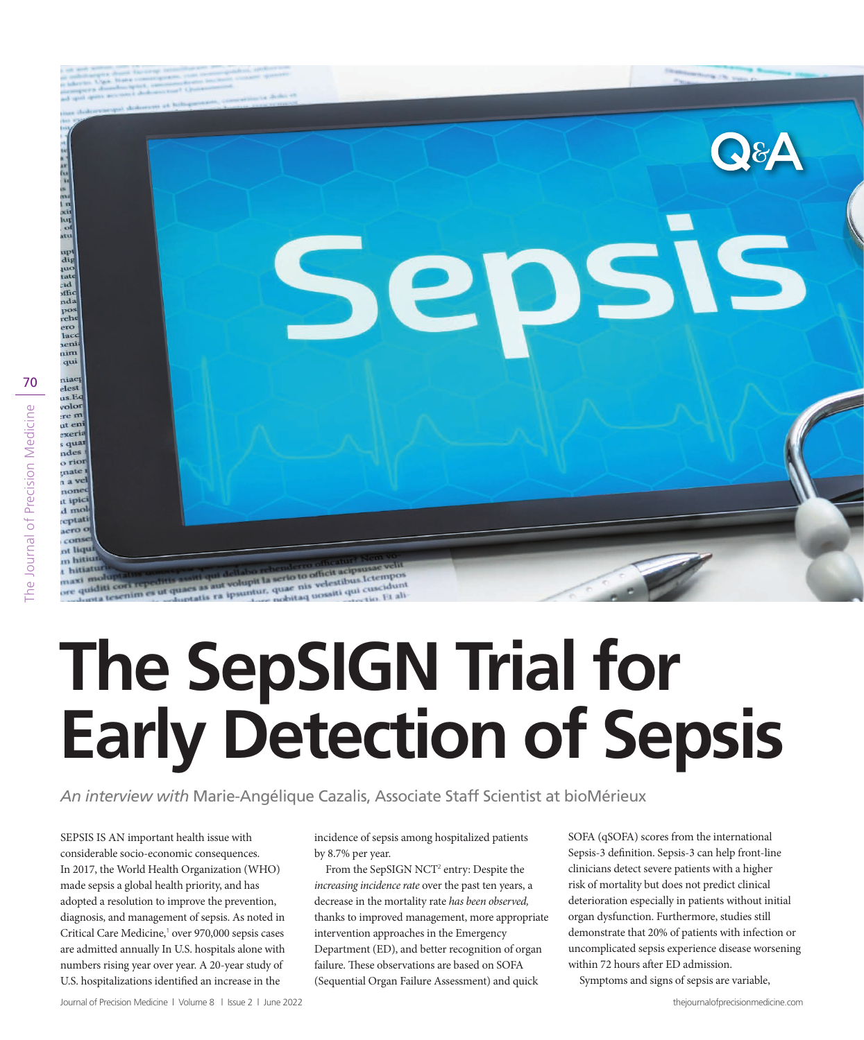

# **The SepSIGN Trial for Early Detection of Sepsis**

*An interview with* Marie-Angélique Cazalis, Associate Staff Scientist at bioMérieux

velestibus.lo velestibus Ictempunt

i ipsuntur, quae nis

SEPSIS IS AN important health issue with considerable socio-economic consequences. In 2017, the World Health Organization (WHO) made sepsis a global health priority, and has adopted a resolution to improve the prevention, diagnosis, and management of sepsis. As noted in Critical Care Medicine,<sup>1</sup> over 970,000 sepsis cases are admitted annually In U.S. hospitals alone with numbers rising year over year. A 20-year study of U.S. hospitalizations identified an increase in the

incidence of sepsis among hospitalized patients by 8.7% per year.

From the SepSIGN NCT<sup>2</sup> entry: Despite the *increasing incidence rate* over the past ten years, a decrease in the mortality rate *has been observed,*  thanks to improved management, more appropriate intervention approaches in the Emergency Department (ED), and better recognition of organ failure. These observations are based on SOFA (Sequential Organ Failure Assessment) and quick

SOFA (qSOFA) scores from the international Sepsis-3 definition. Sepsis-3 can help front-line clinicians detect severe patients with a higher risk of mortality but does not predict clinical deterioration especially in patients without initial organ dysfunction. Furthermore, studies still demonstrate that 20% of patients with infection or uncomplicated sepsis experience disease worsening within 72 hours after ED admission.

Symptoms and signs of sepsis are variable,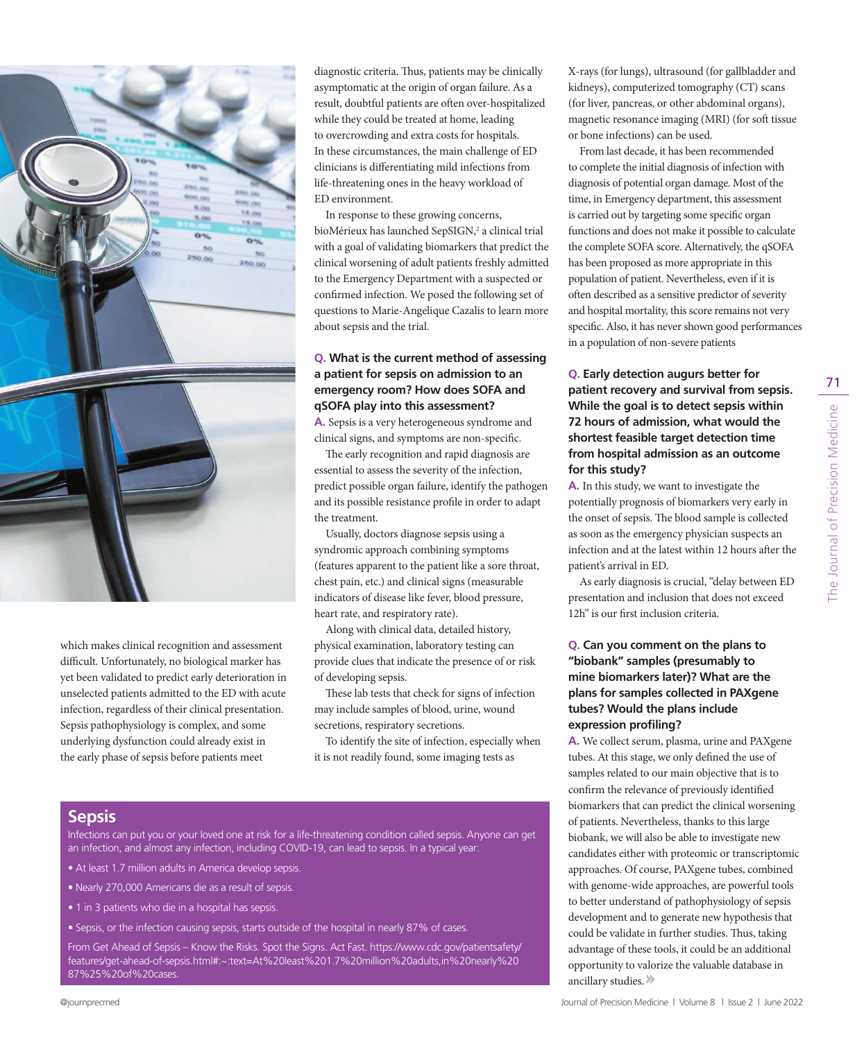

which makes clinical recognition and assessment difficult. Unfortunately, no biological marker has yet been validated to predict early deterioration in unselected patients admitted to the ED with acute infection, regardless of their clinical presentation. Sepsis pathophysiology is complex, and some underlying dysfunction could already exist in the early phase of sepsis before patients meet

diagnostic criteria. Thus, patients may be clinically asymptomatic at the origin of organ failure. As a result, doubtful patients are often over-hospitalized while they could be treated at home, leading to overcrowding and extra costs for hospitals. In these circumstances, the main challenge of ED clinicians is differentiating mild infections from life-threatening ones in the heavy workload of ED environment.

In response to these growing concerns, bioMérieux has launched SepSIGN,<sup>2</sup> a clinical trial with a goal of validating biomarkers that predict the clinical worsening of adult patients freshly admitted to the Emergency Department with a suspected or confirmed infection. We posed the following set of questions to Marie-Angelique Cazalis to learn more about sepsis and the trial.

## **Q. What is the current method of assessing a patient for sepsis on admission to an emergency room? How does SOFA and qSOFA play into this assessment?**

**A.** Sepsis is a very heterogeneous syndrome and clinical signs, and symptoms are non-specific.

The early recognition and rapid diagnosis are essential to assess the severity of the infection, predict possible organ failure, identify the pathogen and its possible resistance profile in order to adapt the treatment.

Usually, doctors diagnose sepsis using a syndromic approach combining symptoms (features apparent to the patient like a sore throat, chest pain, etc.) and clinical signs (measurable indicators of disease like fever, blood pressure, heart rate, and respiratory rate).

Along with clinical data, detailed history, physical examination, laboratory testing can provide clues that indicate the presence of or risk of developing sepsis.

These lab tests that check for signs of infection may include samples of blood, urine, wound secretions, respiratory secretions.

To identify the site of infection, especially when it is not readily found, some imaging tests as

**Sepsis**

Infections can put you or your loved one at risk for a life-threatening condition called sepsis. Anyone can get an infection, and almost any infection, including COVID-19, can lead to sepsis. In a typical year:

- At least 1.7 million adults in America develop sepsis.
- Nearly 270,000 Americans die as a result of sepsis.
- 1 in 3 patients who die in a hospital has sepsis.
- Sepsis, or the infection causing sepsis, starts outside of the hospital in nearly 87% of cases.

From Get Ahead of Sepsis – Know the Risks. Spot the Signs. Act Fast. https://www.cdc.gov/patientsafety/ features/get-ahead-of-sepsis.html#:~:text=At%20least%201.7%20million%20adults,in%20nearly%20 87%25%20of%20cases.

X-rays (for lungs), ultrasound (for gallbladder and kidneys), computerized tomography (CT) scans (for liver, pancreas, or other abdominal organs), magnetic resonance imaging (MRI) (for soft tissue or bone infections) can be used.

From last decade, it has been recommended to complete the initial diagnosis of infection with diagnosis of potential organ damage. Most of the time, in Emergency department, this assessment is carried out by targeting some specific organ functions and does not make it possible to calculate the complete SOFA score. Alternatively, the qSOFA has been proposed as more appropriate in this population of patient. Nevertheless, even if it is often described as a sensitive predictor of severity and hospital mortality, this score remains not very specific. Also, it has never shown good performances in a population of non-severe patients

## **Q. Early detection augurs better for patient recovery and survival from sepsis. While the goal is to detect sepsis within 72 hours of admission, what would the shortest feasible target detection time from hospital admission as an outcome for this study?**

**A.** In this study, we want to investigate the potentially prognosis of biomarkers very early in the onset of sepsis. The blood sample is collected as soon as the emergency physician suspects an infection and at the latest within 12 hours after the patient's arrival in ED.

As early diagnosis is crucial, "delay between ED presentation and inclusion that does not exceed 12h" is our first inclusion criteria.

### **Q. Can you comment on the plans to "biobank" samples (presumably to mine biomarkers later)? What are the plans for samples collected in PAXgene tubes? Would the plans include expression profiling?**

**A.** We collect serum, plasma, urine and PAXgene tubes. At this stage, we only defined the use of samples related to our main objective that is to confirm the relevance of previously identified biomarkers that can predict the clinical worsening of patients. Nevertheless, thanks to this large biobank, we will also be able to investigate new candidates either with proteomic or transcriptomic approaches. Of course, PAXgene tubes, combined with genome-wide approaches, are powerful tools to better understand of pathophysiology of sepsis development and to generate new hypothesis that could be validate in further studies. Thus, taking advantage of these tools, it could be an additional opportunity to valorize the valuable database in ancillary studies.